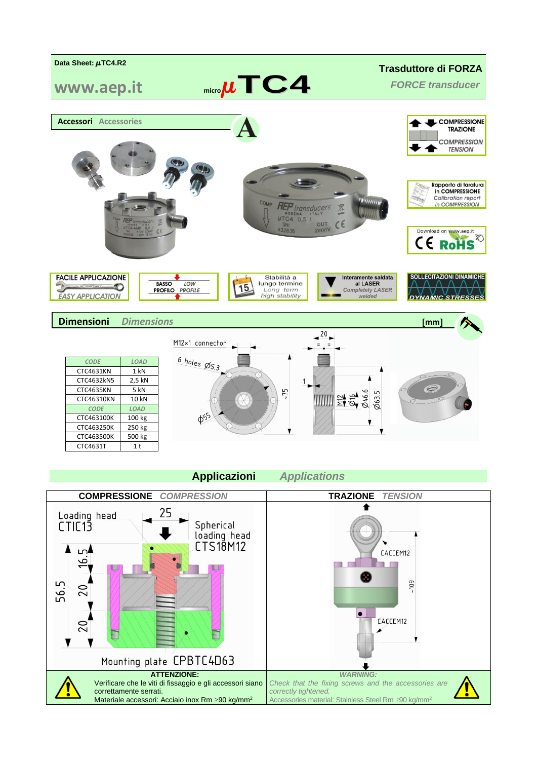

## **Applicazioni** *Applications*